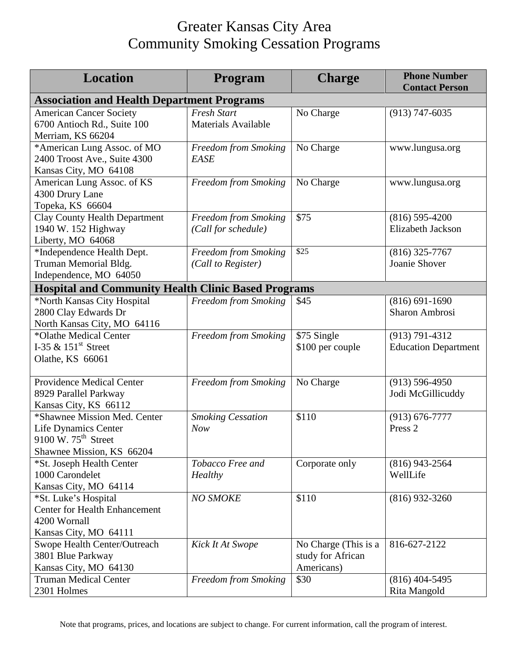## Greater Kansas City Area Community Smoking Cessation Programs

| <b>Location</b>                                                                                                             | Program                                          | <b>Charge</b>                                           | <b>Phone Number</b><br><b>Contact Person</b>      |  |  |
|-----------------------------------------------------------------------------------------------------------------------------|--------------------------------------------------|---------------------------------------------------------|---------------------------------------------------|--|--|
| <b>Association and Health Department Programs</b>                                                                           |                                                  |                                                         |                                                   |  |  |
| <b>American Cancer Society</b><br>6700 Antioch Rd., Suite 100<br>Merriam, KS 66204                                          | <b>Fresh Start</b><br><b>Materials Available</b> | No Charge                                               | $(913) 747 - 6035$                                |  |  |
| *American Lung Assoc. of MO<br>2400 Troost Ave., Suite 4300<br>Kansas City, MO 64108                                        | Freedom from Smoking<br>EASE                     | No Charge                                               | www.lungusa.org                                   |  |  |
| American Lung Assoc. of KS<br>4300 Drury Lane<br>Topeka, KS 66604                                                           | Freedom from Smoking                             | No Charge                                               | www.lungusa.org                                   |  |  |
| <b>Clay County Health Department</b><br>1940 W. 152 Highway<br>Liberty, MO 64068                                            | Freedom from Smoking<br>(Call for schedule)      | \$75                                                    | $(816) 595 - 4200$<br><b>Elizabeth Jackson</b>    |  |  |
| *Independence Health Dept.<br>Truman Memorial Bldg.<br>Independence, MO 64050                                               | Freedom from Smoking<br>(Call to Register)       | \$25                                                    | $(816)$ 325-7767<br>Joanie Shover                 |  |  |
| <b>Hospital and Community Health Clinic Based Programs</b>                                                                  |                                                  |                                                         |                                                   |  |  |
| *North Kansas City Hospital<br>2800 Clay Edwards Dr<br>North Kansas City, MO 64116                                          | Freedom from Smoking                             | \$45                                                    | $(816) 691 - 1690$<br><b>Sharon Ambrosi</b>       |  |  |
| *Olathe Medical Center<br>I-35 $\&$ 151 <sup>st</sup> Street<br>Olathe, KS 66061                                            | Freedom from Smoking                             | \$75 Single<br>\$100 per couple                         | $(913) 791 - 4312$<br><b>Education Department</b> |  |  |
| <b>Providence Medical Center</b><br>8929 Parallel Parkway<br>Kansas City, KS 66112                                          | Freedom from Smoking                             | No Charge                                               | $(913) 596 - 4950$<br>Jodi McGillicuddy           |  |  |
| *Shawnee Mission Med. Center<br><b>Life Dynamics Center</b><br>9100 W, $75^{\text{th}}$ Street<br>Shawnee Mission, KS 66204 | <b>Smoking Cessation</b><br><b>Now</b>           | \$110                                                   | $(913) 676 - 7777$<br>Press <sub>2</sub>          |  |  |
| *St. Joseph Health Center<br>1000 Carondelet<br>Kansas City, MO 64114                                                       | Tobacco Free and<br>Healthy                      | Corporate only                                          | $(816)$ 943-2564<br>WellLife                      |  |  |
| *St. Luke's Hospital<br><b>Center for Health Enhancement</b><br>4200 Wornall<br>Kansas City, MO 64111                       | <b>NO SMOKE</b>                                  | \$110                                                   | $(816)$ 932-3260                                  |  |  |
| Swope Health Center/Outreach<br>3801 Blue Parkway<br>Kansas City, MO 64130                                                  | Kick It At Swope                                 | No Charge (This is a<br>study for African<br>Americans) | 816-627-2122                                      |  |  |
| <b>Truman Medical Center</b><br>2301 Holmes                                                                                 | Freedom from Smoking                             | \$30                                                    | $(816)$ 404-5495<br>Rita Mangold                  |  |  |